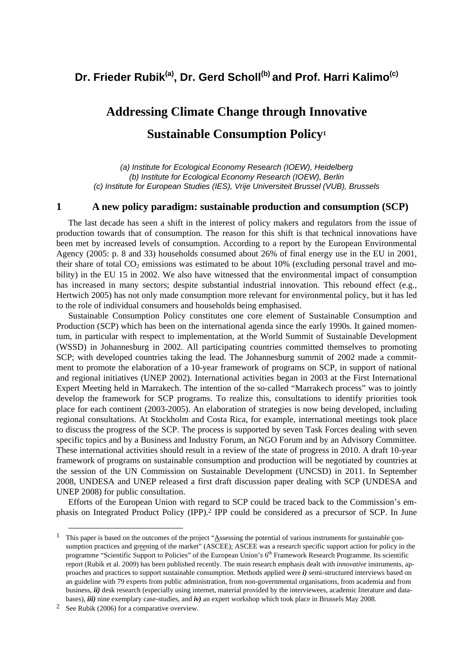# Dr. Frieder Rubik<sup>(a)</sup>, Dr. Gerd Scholl<sup>(b)</sup> and Prof. Harri Kalimo<sup>(c)</sup>

# **Addressing Climate Change through Innovative Sustainable Consumption Policy1**

*(a) Institute for Ecological Economy Research (IOEW), Heidelberg (b) Institute for Ecological Economy Research (IOEW), Berlin (c) Institute for European Studies (IES), Vrije Universiteit Brussel (VUB), Brussels* 

#### **1 A new policy paradigm: sustainable production and consumption (SCP)**

The last decade has seen a shift in the interest of policy makers and regulators from the issue of production towards that of consumption. The reason for this shift is that technical innovations have been met by increased levels of consumption. According to a report by the European Environmental Agency (2005: p. 8 and 33) households consumed about 26% of final energy use in the EU in 2001, their share of total  $CO_2$  emissions was estimated to be about 10% (excluding personal travel and mobility) in the EU 15 in 2002. We also have witnessed that the environmental impact of consumption has increased in many sectors; despite substantial industrial innovation. This rebound effect (e.g., Hertwich 2005) has not only made consumption more relevant for environmental policy, but it has led to the role of individual consumers and households being emphasised.

Sustainable Consumption Policy constitutes one core element of Sustainable Consumption and Production (SCP) which has been on the international agenda since the early 1990s. It gained momentum, in particular with respect to implementation, at the World Summit of Sustainable Development (WSSD) in Johannesburg in 2002. All participating countries committed themselves to promoting SCP; with developed countries taking the lead. The Johannesburg summit of 2002 made a commitment to promote the elaboration of a 10-year framework of programs on SCP, in support of national and regional initiatives (UNEP 2002). International activities began in 2003 at the First International Expert Meeting held in Marrakech. The intention of the so-called "Marrakech process" was to jointly develop the framework for SCP programs. To realize this, consultations to identify priorities took place for each continent (2003-2005). An elaboration of strategies is now being developed, including regional consultations. At Stockholm and Costa Rica, for example, international meetings took place to discuss the progress of the SCP. The process is supported by seven Task Forces dealing with seven specific topics and by a Business and Industry Forum, an NGO Forum and by an Advisory Committee. These international activities should result in a review of the state of progress in 2010. A draft 10-year framework of programs on sustainable consumption and production will be negotiated by countries at the session of the UN Commission on Sustainable Development (UNCSD) in 2011. In September 2008, UNDESA and UNEP released a first draft discussion paper dealing with SCP (UNDESA and UNEP 2008) for public consultation.

Efforts of the European Union with regard to SCP could be traced back to the Commission's emphasis on Integrated Product Policy (IPP).2 IPP could be considered as a precursor of SCP. In June

<sup>&</sup>lt;sup>1</sup> This paper is based on the outcomes of the project "Assessing the potential of various instruments for sustainable consumption practices and greening of the market" (ASCEE); ASCEE was a research specific support action for policy in the programme "Scientific Support to Policies" of the European Union's 6<sup>th</sup> Framework Research Programme. Its scientific report (Rubik et al. 2009) has been published recently. The main research emphasis dealt with *innovative* instruments, approaches and practices to support sustainable consumption. Methods applied were *i)* semi-structured interviews based on an guideline with 79 experts from public administration, from non-governmental organisations, from academia and from business, *ii*) desk research (especially using internet, material provided by the interviewees, academic literature and databases), *iii)* nine exemplary case-studies, and *iv)* an expert workshop which took place in Brussels May 2008.

<sup>2</sup> See Rubik (2006) for a comparative overview.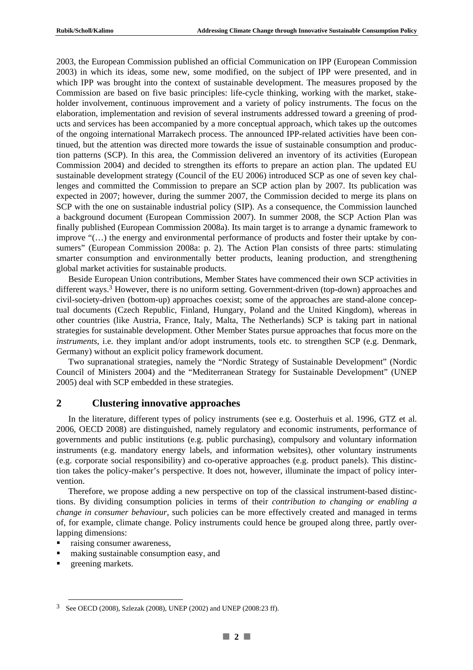2003, the European Commission published an official Communication on IPP (European Commission 2003) in which its ideas, some new, some modified, on the subject of IPP were presented, and in which IPP was brought into the context of sustainable development. The measures proposed by the Commission are based on five basic principles: life-cycle thinking, working with the market, stakeholder involvement, continuous improvement and a variety of policy instruments. The focus on the elaboration, implementation and revision of several instruments addressed toward a greening of products and services has been accompanied by a more conceptual approach, which takes up the outcomes of the ongoing international Marrakech process. The announced IPP-related activities have been continued, but the attention was directed more towards the issue of sustainable consumption and production patterns (SCP). In this area, the Commission delivered an inventory of its activities (European Commission 2004) and decided to strengthen its efforts to prepare an action plan. The updated EU sustainable development strategy (Council of the EU 2006) introduced SCP as one of seven key challenges and committed the Commission to prepare an SCP action plan by 2007. Its publication was expected in 2007; however, during the summer 2007, the Commission decided to merge its plans on SCP with the one on sustainable industrial policy (SIP). As a consequence, the Commission launched a background document (European Commission 2007). In summer 2008, the SCP Action Plan was finally published (European Commission 2008a). Its main target is to arrange a dynamic framework to improve "(…) the energy and environmental performance of products and foster their uptake by consumers" (European Commission 2008a: p. 2). The Action Plan consists of three parts: stimulating smarter consumption and environmentally better products, leaning production, and strengthening global market activities for sustainable products.

Beside European Union contributions, Member States have commenced their own SCP activities in different ways.<sup>3</sup> However, there is no uniform setting. Government-driven (top-down) approaches and civil-society-driven (bottom-up) approaches coexist; some of the approaches are stand-alone conceptual documents (Czech Republic, Finland, Hungary, Poland and the United Kingdom), whereas in other countries (like Austria, France, Italy, Malta, The Netherlands) SCP is taking part in national strategies for sustainable development. Other Member States pursue approaches that focus more on the *instruments*, i.e. they implant and/or adopt instruments, tools etc. to strengthen SCP (e.g. Denmark, Germany) without an explicit policy framework document.

Two supranational strategies, namely the "Nordic Strategy of Sustainable Development" (Nordic Council of Ministers 2004) and the "Mediterranean Strategy for Sustainable Development" (UNEP 2005) deal with SCP embedded in these strategies.

# **2 Clustering innovative approaches**

In the literature, different types of policy instruments (see e.g. Oosterhuis et al. 1996, GTZ et al. 2006, OECD 2008) are distinguished, namely regulatory and economic instruments, performance of governments and public institutions (e.g. public purchasing), compulsory and voluntary information instruments (e.g. mandatory energy labels, and information websites), other voluntary instruments (e.g. corporate social responsibility) and co-operative approaches (e.g. product panels). This distinction takes the policy-maker's perspective. It does not, however, illuminate the impact of policy intervention.

Therefore, we propose adding a new perspective on top of the classical instrument-based distinctions. By dividing consumption policies in terms of their *contribution to changing or enabling a change in consumer behaviour*, such policies can be more effectively created and managed in terms of, for example, climate change. Policy instruments could hence be grouped along three, partly overlapping dimensions:

- raising consumer awareness,
- making sustainable consumption easy, and
- **greening markets.**

 <sup>3</sup> See OECD (2008), Szlezak (2008), UNEP (2002) and UNEP (2008:23 ff).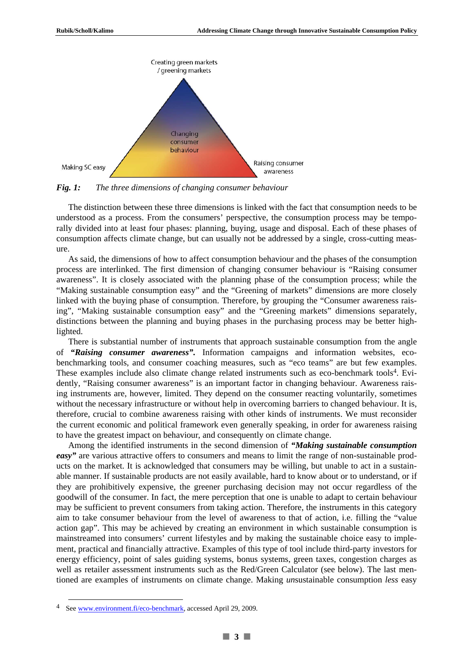

*Fig. 1: The three dimensions of changing consumer behaviour* 

The distinction between these three dimensions is linked with the fact that consumption needs to be understood as a process. From the consumers' perspective, the consumption process may be temporally divided into at least four phases: planning, buying, usage and disposal. Each of these phases of consumption affects climate change, but can usually not be addressed by a single, cross-cutting measure.

As said, the dimensions of how to affect consumption behaviour and the phases of the consumption process are interlinked. The first dimension of changing consumer behaviour is "Raising consumer awareness". It is closely associated with the planning phase of the consumption process; while the "Making sustainable consumption easy" and the "Greening of markets" dimensions are more closely linked with the buying phase of consumption. Therefore, by grouping the "Consumer awareness raising", "Making sustainable consumption easy" and the "Greening markets" dimensions separately, distinctions between the planning and buying phases in the purchasing process may be better highlighted.

There is substantial number of instruments that approach sustainable consumption from the angle of *"Raising consumer awareness".* Information campaigns and information websites, ecobenchmarking tools, and consumer coaching measures, such as "eco teams" are but few examples. These examples include also climate change related instruments such as eco-benchmark tools<sup>4</sup>. Evidently, "Raising consumer awareness" is an important factor in changing behaviour. Awareness raising instruments are, however, limited. They depend on the consumer reacting voluntarily, sometimes without the necessary infrastructure or without help in overcoming barriers to changed behaviour. It is, therefore, crucial to combine awareness raising with other kinds of instruments. We must reconsider the current economic and political framework even generally speaking, in order for awareness raising to have the greatest impact on behaviour, and consequently on climate change.

Among the identified instruments in the second dimension of *"Making sustainable consumption easy* are various attractive offers to consumers and means to limit the range of non-sustainable products on the market. It is acknowledged that consumers may be willing, but unable to act in a sustainable manner. If sustainable products are not easily available, hard to know about or to understand, or if they are prohibitively expensive, the greener purchasing decision may not occur regardless of the goodwill of the consumer. In fact, the mere perception that one is unable to adapt to certain behaviour may be sufficient to prevent consumers from taking action. Therefore, the instruments in this category aim to take consumer behaviour from the level of awareness to that of action, i.e. filling the "value action gap". This may be achieved by creating an environment in which sustainable consumption is mainstreamed into consumers' current lifestyles and by making the sustainable choice easy to implement, practical and financially attractive. Examples of this type of tool include third-party investors for energy efficiency, point of sales guiding systems, bonus systems, green taxes, congestion charges as well as retailer assessment instruments such as the Red/Green Calculator (see below). The last mentioned are examples of instruments on climate change. Making *un*sustainable consumption *less* easy

See www.environment.fi/eco-benchmark, accessed April 29, 2009.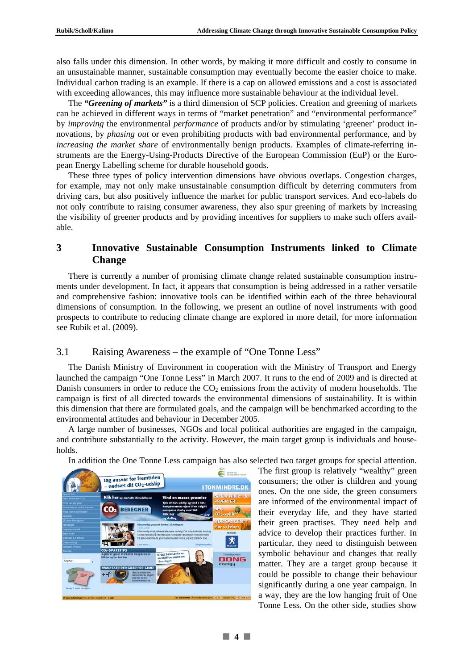also falls under this dimension. In other words, by making it more difficult and costly to consume in an unsustainable manner, sustainable consumption may eventually become the easier choice to make. Individual carbon trading is an example. If there is a cap on allowed emissions and a cost is associated with exceeding allowances, this may influence more sustainable behaviour at the individual level.

The *"Greening of markets"* is a third dimension of SCP policies. Creation and greening of markets can be achieved in different ways in terms of "market penetration" and "environmental performance" by *improving* the environmental *performance* of products and/or by stimulating 'greener' product innovations, by *phasing out* or even prohibiting products with bad environmental performance, and by *increasing the market share* of environmentally benign products. Examples of climate-referring instruments are the Energy-Using-Products Directive of the European Commission (EuP) or the European Energy Labelling scheme for durable household goods.

These three types of policy intervention dimensions have obvious overlaps. Congestion charges, for example, may not only make unsustainable consumption difficult by deterring commuters from driving cars, but also positively influence the market for public transport services. And eco-labels do not only contribute to raising consumer awareness, they also spur greening of markets by increasing the visibility of greener products and by providing incentives for suppliers to make such offers available.

# **3 Innovative Sustainable Consumption Instruments linked to Climate Change**

There is currently a number of promising climate change related sustainable consumption instruments under development. In fact, it appears that consumption is being addressed in a rather versatile and comprehensive fashion: innovative tools can be identified within each of the three behavioural dimensions of consumption. In the following, we present an outline of novel instruments with good prospects to contribute to reducing climate change are explored in more detail, for more information see Rubik et al. (2009).

# 3.1 Raising Awareness – the example of "One Tonne Less"

The Danish Ministry of Environment in cooperation with the Ministry of Transport and Energy launched the campaign "One Tonne Less" in March 2007. It runs to the end of 2009 and is directed at Danish consumers in order to reduce the  $CO<sub>2</sub>$  emissions from the activity of modern households. The campaign is first of all directed towards the environmental dimensions of sustainability. It is within this dimension that there are formulated goals, and the campaign will be benchmarked according to the environmental attitudes and behaviour in December 2005.

A large number of businesses, NGOs and local political authorities are engaged in the campaign, and contribute substantially to the activity. However, the main target group is individuals and households.

In addition the One Tonne Less campaign has also selected two target groups for special attention.

 $\epsilon$ Tag ansvar for fremtiden<br>- nedsæt dit CO2-udslip **I TONMINDRE.DK** Klik her **BEREGNER** 嘴 **SPARETIPS** DONG

The first group is relatively "wealthy" green consumers; the other is children and young ones. On the one side, the green consumers are informed of the environmental impact of their everyday life, and they have started their green practises. They need help and advice to develop their practices further. In particular, they need to distinguish between symbolic behaviour and changes that really matter. They are a target group because it could be possible to change their behaviour significantly during a one year campaign. In a way, they are the low hanging fruit of One Tonne Less. On the other side, studies show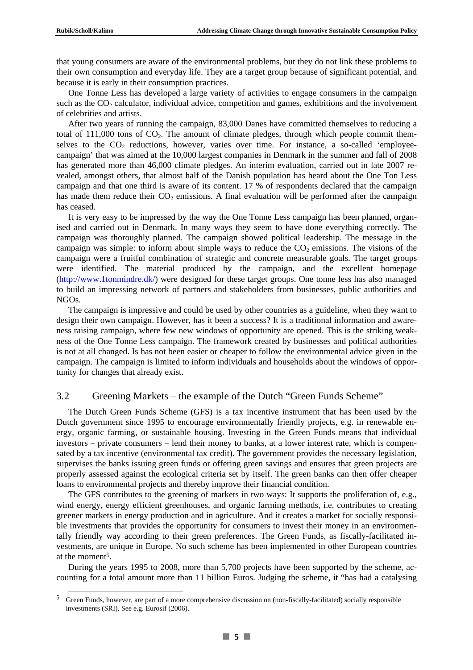that young consumers are aware of the environmental problems, but they do not link these problems to their own consumption and everyday life. They are a target group because of significant potential, and because it is early in their consumption practices.

One Tonne Less has developed a large variety of activities to engage consumers in the campaign such as the  $CO<sub>2</sub>$  calculator, individual advice, competition and games, exhibitions and the involvement of celebrities and artists.

After two years of running the campaign, 83,000 Danes have committed themselves to reducing a total of  $111,000$  tons of  $CO<sub>2</sub>$ . The amount of climate pledges, through which people commit themselves to the  $CO<sub>2</sub>$  reductions, however, varies over time. For instance, a so-called 'employeecampaign' that was aimed at the 10,000 largest companies in Denmark in the summer and fall of 2008 has generated more than 46,000 climate pledges. An interim evaluation, carried out in late 2007 revealed, amongst others, that almost half of the Danish population has heard about the One Ton Less campaign and that one third is aware of its content. 17 % of respondents declared that the campaign has made them reduce their  $CO<sub>2</sub>$  emissions. A final evaluation will be performed after the campaign has ceased.

It is very easy to be impressed by the way the One Tonne Less campaign has been planned, organised and carried out in Denmark. In many ways they seem to have done everything correctly. The campaign was thoroughly planned. The campaign showed political leadership. The message in the campaign was simple: to inform about simple ways to reduce the  $CO<sub>2</sub>$  emissions. The visions of the campaign were a fruitful combination of strategic and concrete measurable goals. The target groups were identified. The material produced by the campaign, and the excellent homepage (http://www.1tonmindre.dk/) were designed for these target groups. One tonne less has also managed to build an impressing network of partners and stakeholders from businesses, public authorities and NGOs.

The campaign is impressive and could be used by other countries as a guideline, when they want to design their own campaign. However, has it been a success? It is a traditional information and awareness raising campaign, where few new windows of opportunity are opened. This is the striking weakness of the One Tonne Less campaign. The framework created by businesses and political authorities is not at all changed. Is has not been easier or cheaper to follow the environmental advice given in the campaign. The campaign is limited to inform individuals and households about the windows of opportunity for changes that already exist.

# 3.2 Greening Ma**r**kets – the example of the Dutch "Green Funds Scheme"

The Dutch Green Funds Scheme (GFS) is a tax incentive instrument that has been used by the Dutch government since 1995 to encourage environmentally friendly projects, e.g. in renewable energy, organic farming, or sustainable housing. Investing in the Green Funds means that individual investors – private consumers – lend their money to banks, at a lower interest rate, which is compensated by a tax incentive (environmental tax credit). The government provides the necessary legislation, supervises the banks issuing green funds or offering green savings and ensures that green projects are properly assessed against the ecological criteria set by itself. The green banks can then offer cheaper loans to environmental projects and thereby improve their financial condition.

The GFS contributes to the greening of markets in two ways: It supports the proliferation of, e.g., wind energy, energy efficient greenhouses, and organic farming methods, i.e. contributes to creating greener markets in energy production and in agriculture. And it creates a market for socially responsible investments that provides the opportunity for consumers to invest their money in an environmentally friendly way according to their green preferences. The Green Funds, as fiscally-facilitated investments, are unique in Europe. No such scheme has been implemented in other European countries at the moment<sup>5</sup>.

During the years 1995 to 2008, more than 5,700 projects have been supported by the scheme, accounting for a total amount more than 11 billion Euros. Judging the scheme, it "has had a catalysing

 <sup>5</sup> Green Funds, however, are part of a more comprehensive discussion on (non-fiscally-facilitated) socially responsible investments (SRI). See e.g. Eurosif (2006).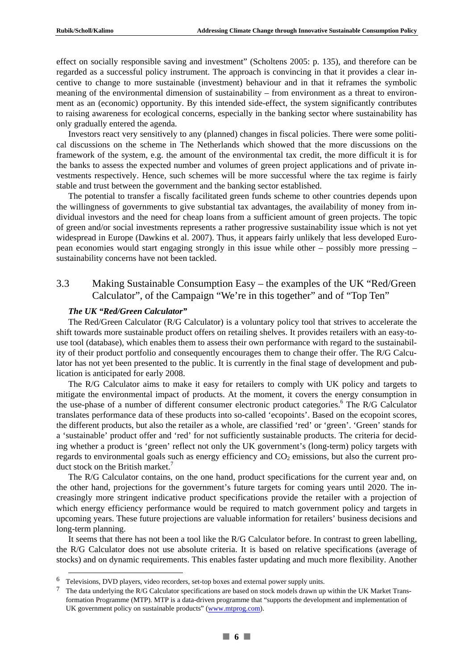effect on socially responsible saving and investment" (Scholtens 2005: p. 135), and therefore can be regarded as a successful policy instrument. The approach is convincing in that it provides a clear incentive to change to more sustainable (investment) behaviour and in that it reframes the symbolic meaning of the environmental dimension of sustainability – from environment as a threat to environment as an (economic) opportunity. By this intended side-effect, the system significantly contributes to raising awareness for ecological concerns, especially in the banking sector where sustainability has only gradually entered the agenda.

Investors react very sensitively to any (planned) changes in fiscal policies. There were some political discussions on the scheme in The Netherlands which showed that the more discussions on the framework of the system, e.g. the amount of the environmental tax credit, the more difficult it is for the banks to assess the expected number and volumes of green project applications and of private investments respectively. Hence, such schemes will be more successful where the tax regime is fairly stable and trust between the government and the banking sector established.

The potential to transfer a fiscally facilitated green funds scheme to other countries depends upon the willingness of governments to give substantial tax advantages, the availability of money from individual investors and the need for cheap loans from a sufficient amount of green projects. The topic of green and/or social investments represents a rather progressive sustainability issue which is not yet widespread in Europe (Dawkins et al. 2007). Thus, it appears fairly unlikely that less developed European economies would start engaging strongly in this issue while other – possibly more pressing – sustainability concerns have not been tackled.

# 3.3 Making Sustainable Consumption Easy – the examples of the UK "Red/Green Calculator", of the Campaign "We're in this together" and of "Top Ten"

#### *The UK "Red/Green Calculator"*

The Red/Green Calculator (R/G Calculator) is a voluntary policy tool that strives to accelerate the shift towards more sustainable product offers on retailing shelves. It provides retailers with an easy-touse tool (database), which enables them to assess their own performance with regard to the sustainability of their product portfolio and consequently encourages them to change their offer. The R/G Calculator has not yet been presented to the public. It is currently in the final stage of development and publication is anticipated for early 2008.

The R/G Calculator aims to make it easy for retailers to comply with UK policy and targets to mitigate the environmental impact of products. At the moment, it covers the energy consumption in the use-phase of a number of different consumer electronic product categories.<sup>6</sup> The R/G Calculator translates performance data of these products into so-called 'ecopoints'. Based on the ecopoint scores, the different products, but also the retailer as a whole, are classified 'red' or 'green'. 'Green' stands for a 'sustainable' product offer and 'red' for not sufficiently sustainable products. The criteria for deciding whether a product is 'green' reflect not only the UK government's (long-term) policy targets with regards to environmental goals such as energy efficiency and  $CO<sub>2</sub>$  emissions, but also the current product stock on the British market.<sup>7</sup>

The R/G Calculator contains, on the one hand, product specifications for the current year and, on the other hand, projections for the government's future targets for coming years until 2020. The increasingly more stringent indicative product specifications provide the retailer with a projection of which energy efficiency performance would be required to match government policy and targets in upcoming years. These future projections are valuable information for retailers' business decisions and long-term planning.

It seems that there has not been a tool like the R/G Calculator before. In contrast to green labelling, the R/G Calculator does not use absolute criteria. It is based on relative specifications (average of stocks) and on dynamic requirements. This enables faster updating and much more flexibility. Another

 <sup>6</sup> Televisions, DVD players, video recorders, set-top boxes and external power supply units.

<sup>&</sup>lt;sup>7</sup> The data underlying the R/G Calculator specifications are based on stock models drawn up within the UK Market Transformation Programme (MTP). MTP is a data-driven programme that "supports the development and implementation of UK government policy on sustainable products" (www.mtprog.com).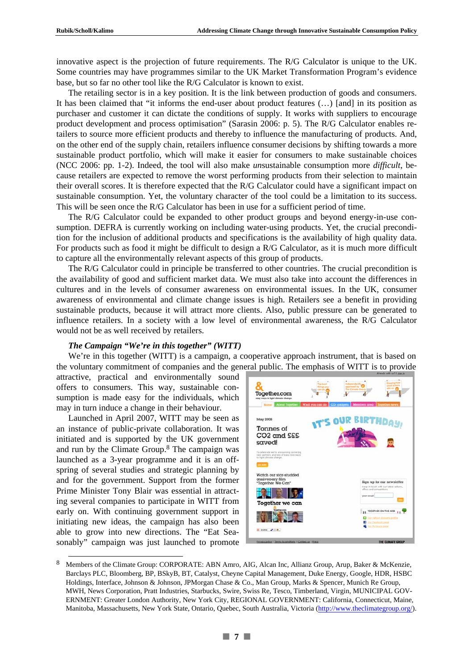innovative aspect is the projection of future requirements. The R/G Calculator is unique to the UK. Some countries may have programmes similar to the UK Market Transformation Program's evidence base, but so far no other tool like the R/G Calculator is known to exist.

The retailing sector is in a key position. It is the link between production of goods and consumers. It has been claimed that "it informs the end-user about product features (…) [and] in its position as purchaser and customer it can dictate the conditions of supply. It works with suppliers to encourage product development and process optimisation" (Sarasin 2006: p. 5). The R/G Calculator enables retailers to source more efficient products and thereby to influence the manufacturing of products. And, on the other end of the supply chain, retailers influence consumer decisions by shifting towards a more sustainable product portfolio, which will make it easier for consumers to make sustainable choices (NCC 2006: pp. 1-2). Indeed, the tool will also make *un*sustainable consumption more *difficult*, because retailers are expected to remove the worst performing products from their selection to maintain their overall scores. It is therefore expected that the R/G Calculator could have a significant impact on sustainable consumption. Yet, the voluntary character of the tool could be a limitation to its success. This will be seen once the R/G Calculator has been in use for a sufficient period of time.

The R/G Calculator could be expanded to other product groups and beyond energy-in-use consumption. DEFRA is currently working on including water-using products. Yet, the crucial precondition for the inclusion of additional products and specifications is the availability of high quality data. For products such as food it might be difficult to design a R/G Calculator, as it is much more difficult to capture all the environmentally relevant aspects of this group of products.

The R/G Calculator could in principle be transferred to other countries. The crucial precondition is the availability of good and sufficient market data. We must also take into account the differences in cultures and in the levels of consumer awareness on environmental issues. In the UK, consumer awareness of environmental and climate change issues is high. Retailers see a benefit in providing sustainable products, because it will attract more clients. Also, public pressure can be generated to influence retailers. In a society with a low level of environmental awareness, the R/G Calculator would not be as well received by retailers.

#### *The Campaign "We're in this together" (WITT)*

We're in this together (WITT) is a campaign, a cooperative approach instrument, that is based on the voluntary commitment of companies and the general public. The emphasis of WITT is to provide

attractive, practical and environmentally sound offers to consumers. This way, sustainable consumption is made easy for the individuals, which may in turn induce a change in their behaviour.

Launched in April 2007, WITT may be seen as an instance of public-private collaboration. It was initiated and is supported by the UK government and run by the Climate Group.8 The campaign was launched as a 3-year programme and it is an offspring of several studies and strategic planning by and for the government. Support from the former Prime Minister Tony Blair was essential in attracting several companies to participate in WITT from early on. With continuing government support in initiating new ideas, the campaign has also been able to grow into new directions. The "Eat Seasonably" campaign was just launched to promote



 <sup>8</sup> Members of the Climate Group: CORPORATE: ABN Amro, AIG, Alcan Inc, Allianz Group, Arup, Baker & McKenzie, Barclays PLC, Bloomberg, BP, BSkyB, BT, Catalyst, Cheyne Capital Management, Duke Energy, Google, HDR, HSBC Holdings, Interface, Johnson & Johnson, JPMorgan Chase & Co., Man Group, Marks & Spencer, Munich Re Group, MWH, News Corporation, Pratt Industries, Starbucks, Swire, Swiss Re, Tesco, Timberland, Virgin, MUNICIPAL GOV-ERNMENT: Greater London Authority, New York City, REGIONAL GOVERNMENT: California, Connecticut, Maine, Manitoba, Massachusetts, New York State, Ontario, Quebec, South Australia, Victoria (http://www.theclimategroup.org/).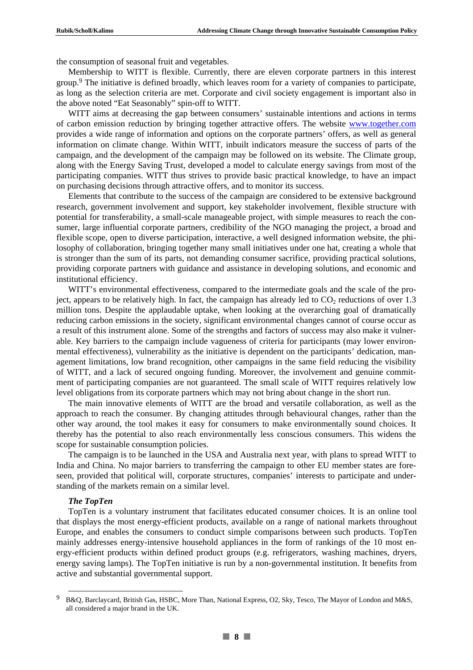the consumption of seasonal fruit and vegetables.

Membership to WITT is flexible. Currently, there are eleven corporate partners in this interest group.9 The initiative is defined broadly, which leaves room for a variety of companies to participate, as long as the selection criteria are met. Corporate and civil society engagement is important also in the above noted "Eat Seasonably" spin-off to WITT.

WITT aims at decreasing the gap between consumers' sustainable intentions and actions in terms of carbon emission reduction by bringing together attractive offers. The website www.together.com provides a wide range of information and options on the corporate partners' offers, as well as general information on climate change. Within WITT, inbuilt indicators measure the success of parts of the campaign, and the development of the campaign may be followed on its website. The Climate group, along with the Energy Saving Trust, developed a model to calculate energy savings from most of the participating companies. WITT thus strives to provide basic practical knowledge, to have an impact on purchasing decisions through attractive offers, and to monitor its success.

Elements that contribute to the success of the campaign are considered to be extensive background research, government involvement and support, key stakeholder involvement, flexible structure with potential for transferability, a small-scale manageable project, with simple measures to reach the consumer, large influential corporate partners, credibility of the NGO managing the project, a broad and flexible scope, open to diverse participation, interactive, a well designed information website, the philosophy of collaboration, bringing together many small initiatives under one hat, creating a whole that is stronger than the sum of its parts, not demanding consumer sacrifice, providing practical solutions, providing corporate partners with guidance and assistance in developing solutions, and economic and institutional efficiency.

WITT's environmental effectiveness, compared to the intermediate goals and the scale of the project, appears to be relatively high. In fact, the campaign has already led to  $CO<sub>2</sub>$  reductions of over 1.3 million tons. Despite the applaudable uptake, when looking at the overarching goal of dramatically reducing carbon emissions in the society, significant environmental changes cannot of course occur as a result of this instrument alone. Some of the strengths and factors of success may also make it vulnerable. Key barriers to the campaign include vagueness of criteria for participants (may lower environmental effectiveness), vulnerability as the initiative is dependent on the participants' dedication, management limitations, low brand recognition, other campaigns in the same field reducing the visibility of WITT, and a lack of secured ongoing funding. Moreover, the involvement and genuine commitment of participating companies are not guaranteed. The small scale of WITT requires relatively low level obligations from its corporate partners which may not bring about change in the short run.

The main innovative elements of WITT are the broad and versatile collaboration, as well as the approach to reach the consumer. By changing attitudes through behavioural changes, rather than the other way around, the tool makes it easy for consumers to make environmentally sound choices. It thereby has the potential to also reach environmentally less conscious consumers. This widens the scope for sustainable consumption policies.

The campaign is to be launched in the USA and Australia next year, with plans to spread WITT to India and China. No major barriers to transferring the campaign to other EU member states are foreseen, provided that political will, corporate structures, companies' interests to participate and understanding of the markets remain on a similar level.

#### *The TopTen*

TopTen is a voluntary instrument that facilitates educated consumer choices. It is an online tool that displays the most energy-efficient products, available on a range of national markets throughout Europe, and enables the consumers to conduct simple comparisons between such products. TopTen mainly addresses energy-intensive household appliances in the form of rankings of the 10 most energy-efficient products within defined product groups (e.g. refrigerators, washing machines, dryers, energy saving lamps). The TopTen initiative is run by a non-governmental institution. It benefits from active and substantial governmental support.

 <sup>9</sup> B&Q, Barclaycard, British Gas, HSBC, More Than, National Express, O2, Sky, Tesco, The Mayor of London and M&S, all considered a major brand in the UK.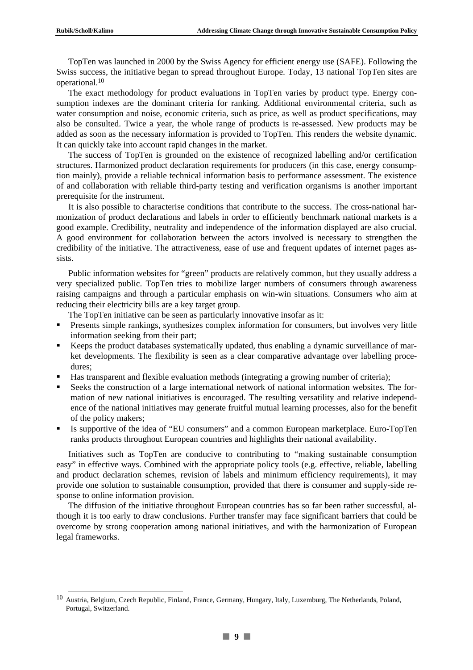TopTen was launched in 2000 by the Swiss Agency for efficient energy use (SAFE). Following the Swiss success, the initiative began to spread throughout Europe. Today, 13 national TopTen sites are operational.10

The exact methodology for product evaluations in TopTen varies by product type. Energy consumption indexes are the dominant criteria for ranking. Additional environmental criteria, such as water consumption and noise, economic criteria, such as price, as well as product specifications, may also be consulted. Twice a year, the whole range of products is re-assessed. New products may be added as soon as the necessary information is provided to TopTen. This renders the website dynamic. It can quickly take into account rapid changes in the market.

The success of TopTen is grounded on the existence of recognized labelling and/or certification structures. Harmonized product declaration requirements for producers (in this case, energy consumption mainly), provide a reliable technical information basis to performance assessment. The existence of and collaboration with reliable third-party testing and verification organisms is another important prerequisite for the instrument.

It is also possible to characterise conditions that contribute to the success. The cross-national harmonization of product declarations and labels in order to efficiently benchmark national markets is a good example. Credibility, neutrality and independence of the information displayed are also crucial. A good environment for collaboration between the actors involved is necessary to strengthen the credibility of the initiative. The attractiveness, ease of use and frequent updates of internet pages assists.

Public information websites for "green" products are relatively common, but they usually address a very specialized public. TopTen tries to mobilize larger numbers of consumers through awareness raising campaigns and through a particular emphasis on win-win situations. Consumers who aim at reducing their electricity bills are a key target group.

The TopTen initiative can be seen as particularly innovative insofar as it:

- Presents simple rankings, synthesizes complex information for consumers, but involves very little information seeking from their part;
- Keeps the product databases systematically updated, thus enabling a dynamic surveillance of market developments. The flexibility is seen as a clear comparative advantage over labelling procedures;
- Has transparent and flexible evaluation methods (integrating a growing number of criteria);
- Seeks the construction of a large international network of national information websites. The formation of new national initiatives is encouraged. The resulting versatility and relative independence of the national initiatives may generate fruitful mutual learning processes, also for the benefit of the policy makers;
- Is supportive of the idea of "EU consumers" and a common European marketplace. Euro-TopTen ranks products throughout European countries and highlights their national availability.

Initiatives such as TopTen are conducive to contributing to "making sustainable consumption easy" in effective ways. Combined with the appropriate policy tools (e.g. effective, reliable, labelling and product declaration schemes, revision of labels and minimum efficiency requirements), it may provide one solution to sustainable consumption, provided that there is consumer and supply-side response to online information provision.

The diffusion of the initiative throughout European countries has so far been rather successful, although it is too early to draw conclusions. Further transfer may face significant barriers that could be overcome by strong cooperation among national initiatives, and with the harmonization of European legal frameworks.

 <sup>10</sup> Austria, Belgium, Czech Republic, Finland, France, Germany, Hungary, Italy, Luxemburg, The Netherlands, Poland, Portugal, Switzerland.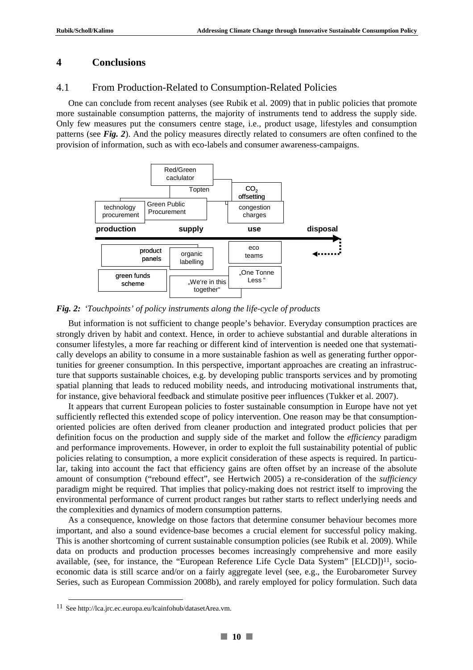#### **4 Conclusions**

#### 4.1 From Production-Related to Consumption-Related Policies

One can conclude from recent analyses (see Rubik et al. 2009) that in public policies that promote more sustainable consumption patterns, the majority of instruments tend to address the supply side. Only few measures put the consumers centre stage, i.e., product usage, lifestyles and consumption patterns (see *Fig. 2*). And the policy measures directly related to consumers are often confined to the provision of information, such as with eco-labels and consumer awareness-campaigns.



*Fig. 2: 'Touchpoints' of policy instruments along the life-cycle of products* 

But information is not sufficient to change people's behavior. Everyday consumption practices are strongly driven by habit and context. Hence, in order to achieve substantial and durable alterations in consumer lifestyles, a more far reaching or different kind of intervention is needed one that systematically develops an ability to consume in a more sustainable fashion as well as generating further opportunities for greener consumption. In this perspective, important approaches are creating an infrastructure that supports sustainable choices, e.g. by developing public transports services and by promoting spatial planning that leads to reduced mobility needs, and introducing motivational instruments that, for instance, give behavioral feedback and stimulate positive peer influences (Tukker et al. 2007).

It appears that current European policies to foster sustainable consumption in Europe have not yet sufficiently reflected this extended scope of policy intervention. One reason may be that consumptionoriented policies are often derived from cleaner production and integrated product policies that per definition focus on the production and supply side of the market and follow the *efficiency* paradigm and performance improvements. However, in order to exploit the full sustainability potential of public policies relating to consumption, a more explicit consideration of these aspects is required. In particular, taking into account the fact that efficiency gains are often offset by an increase of the absolute amount of consumption ("rebound effect", see Hertwich 2005) a re-consideration of the *sufficiency* paradigm might be required. That implies that policy-making does not restrict itself to improving the environmental performance of current product ranges but rather starts to reflect underlying needs and the complexities and dynamics of modern consumption patterns.

As a consequence, knowledge on those factors that determine consumer behaviour becomes more important, and also a sound evidence-base becomes a crucial element for successful policy making. This is another shortcoming of current sustainable consumption policies (see Rubik et al. 2009). While data on products and production processes becomes increasingly comprehensive and more easily available, (see, for instance, the "European Reference Life Cycle Data System" [ELCD])<sup>11</sup>, socioeconomic data is still scarce and/or on a fairly aggregate level (see, e.g., the Eurobarometer Survey Series, such as European Commission 2008b), and rarely employed for policy formulation. Such data

 <sup>11</sup> See http://lca.jrc.ec.europa.eu/lcainfohub/datasetArea.vm.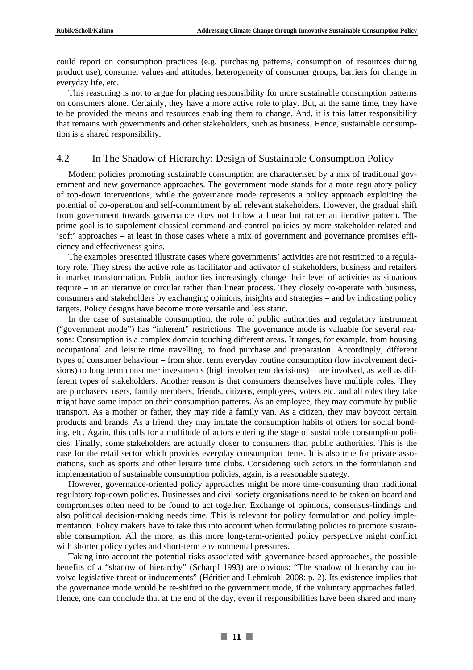could report on consumption practices (e.g. purchasing patterns, consumption of resources during product use), consumer values and attitudes, heterogeneity of consumer groups, barriers for change in everyday life, etc.

This reasoning is not to argue for placing responsibility for more sustainable consumption patterns on consumers alone. Certainly, they have a more active role to play. But, at the same time, they have to be provided the means and resources enabling them to change. And, it is this latter responsibility that remains with governments and other stakeholders, such as business. Hence, sustainable consumption is a shared responsibility.

#### 4.2 In The Shadow of Hierarchy: Design of Sustainable Consumption Policy

Modern policies promoting sustainable consumption are characterised by a mix of traditional government and new governance approaches. The government mode stands for a more regulatory policy of top-down interventions, while the governance mode represents a policy approach exploiting the potential of co-operation and self-commitment by all relevant stakeholders. However, the gradual shift from government towards governance does not follow a linear but rather an iterative pattern. The prime goal is to supplement classical command-and-control policies by more stakeholder-related and 'soft' approaches – at least in those cases where a mix of government and governance promises efficiency and effectiveness gains.

The examples presented illustrate cases where governments' activities are not restricted to a regulatory role. They stress the active role as facilitator and activator of stakeholders, business and retailers in market transformation. Public authorities increasingly change their level of activities as situations require – in an iterative or circular rather than linear process. They closely co-operate with business, consumers and stakeholders by exchanging opinions, insights and strategies – and by indicating policy targets. Policy designs have become more versatile and less static.

In the case of sustainable consumption, the role of public authorities and regulatory instrument ("government mode") has "inherent" restrictions. The governance mode is valuable for several reasons: Consumption is a complex domain touching different areas. It ranges, for example, from housing occupational and leisure time travelling, to food purchase and preparation. Accordingly, different types of consumer behaviour – from short term everyday routine consumption (low involvement decisions) to long term consumer investments (high involvement decisions) – are involved, as well as different types of stakeholders. Another reason is that consumers themselves have multiple roles. They are purchasers, users, family members, friends, citizens, employees, voters etc. and all roles they take might have some impact on their consumption patterns. As an employee, they may commute by public transport. As a mother or father, they may ride a family van. As a citizen, they may boycott certain products and brands. As a friend, they may imitate the consumption habits of others for social bonding, etc. Again, this calls for a multitude of actors entering the stage of sustainable consumption policies. Finally, some stakeholders are actually closer to consumers than public authorities. This is the case for the retail sector which provides everyday consumption items. It is also true for private associations, such as sports and other leisure time clubs. Considering such actors in the formulation and implementation of sustainable consumption policies, again, is a reasonable strategy.

However, governance-oriented policy approaches might be more time-consuming than traditional regulatory top-down policies. Businesses and civil society organisations need to be taken on board and compromises often need to be found to act together. Exchange of opinions, consensus-findings and also political decision-making needs time. This is relevant for policy formulation and policy implementation. Policy makers have to take this into account when formulating policies to promote sustainable consumption. All the more, as this more long-term-oriented policy perspective might conflict with shorter policy cycles and short-term environmental pressures.

Taking into account the potential risks associated with governance-based approaches, the possible benefits of a "shadow of hierarchy" (Scharpf 1993) are obvious: "The shadow of hierarchy can involve legislative threat or inducements" (Héritier and Lehmkuhl 2008: p. 2). Its existence implies that the governance mode would be re-shifted to the government mode, if the voluntary approaches failed. Hence, one can conclude that at the end of the day, even if responsibilities have been shared and many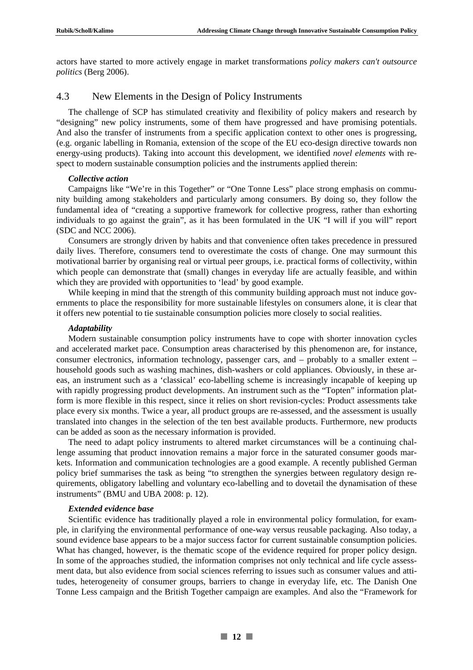actors have started to more actively engage in market transformations *policy makers can't outsource politics* (Berg 2006).

## 4.3 New Elements in the Design of Policy Instruments

The challenge of SCP has stimulated creativity and flexibility of policy makers and research by "designing" new policy instruments, some of them have progressed and have promising potentials. And also the transfer of instruments from a specific application context to other ones is progressing, (e.g. organic labelling in Romania, extension of the scope of the EU eco-design directive towards non energy-using products). Taking into account this development, we identified *novel elements* with respect to modern sustainable consumption policies and the instruments applied therein:

#### *Collective action*

Campaigns like "We're in this Together" or "One Tonne Less" place strong emphasis on community building among stakeholders and particularly among consumers. By doing so, they follow the fundamental idea of "creating a supportive framework for collective progress, rather than exhorting individuals to go against the grain", as it has been formulated in the UK "I will if you will" report (SDC and NCC 2006).

Consumers are strongly driven by habits and that convenience often takes precedence in pressured daily lives. Therefore, consumers tend to overestimate the costs of change. One may surmount this motivational barrier by organising real or virtual peer groups, i.e. practical forms of collectivity, within which people can demonstrate that (small) changes in everyday life are actually feasible, and within which they are provided with opportunities to 'lead' by good example.

While keeping in mind that the strength of this community building approach must not induce governments to place the responsibility for more sustainable lifestyles on consumers alone, it is clear that it offers new potential to tie sustainable consumption policies more closely to social realities.

#### *Adaptability*

Modern sustainable consumption policy instruments have to cope with shorter innovation cycles and accelerated market pace. Consumption areas characterised by this phenomenon are, for instance, consumer electronics, information technology, passenger cars, and – probably to a smaller extent – household goods such as washing machines, dish-washers or cold appliances. Obviously, in these areas, an instrument such as a 'classical' eco-labelling scheme is increasingly incapable of keeping up with rapidly progressing product developments. An instrument such as the "Topten" information platform is more flexible in this respect, since it relies on short revision-cycles: Product assessments take place every six months. Twice a year, all product groups are re-assessed, and the assessment is usually translated into changes in the selection of the ten best available products. Furthermore, new products can be added as soon as the necessary information is provided.

The need to adapt policy instruments to altered market circumstances will be a continuing challenge assuming that product innovation remains a major force in the saturated consumer goods markets. Information and communication technologies are a good example. A recently published German policy brief summarises the task as being "to strengthen the synergies between regulatory design requirements, obligatory labelling and voluntary eco-labelling and to dovetail the dynamisation of these instruments" (BMU and UBA 2008: p. 12).

#### *Extended evidence base*

Scientific evidence has traditionally played a role in environmental policy formulation, for example, in clarifying the environmental performance of one-way versus reusable packaging. Also today, a sound evidence base appears to be a major success factor for current sustainable consumption policies. What has changed, however, is the thematic scope of the evidence required for proper policy design. In some of the approaches studied, the information comprises not only technical and life cycle assessment data, but also evidence from social sciences referring to issues such as consumer values and attitudes, heterogeneity of consumer groups, barriers to change in everyday life, etc. The Danish One Tonne Less campaign and the British Together campaign are examples. And also the "Framework for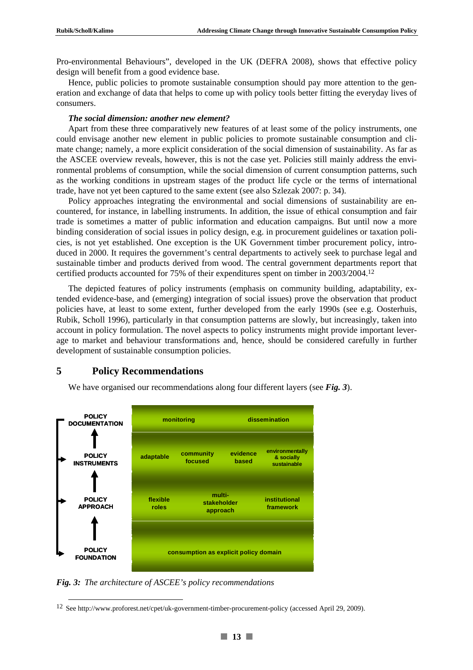Pro-environmental Behaviours", developed in the UK (DEFRA 2008), shows that effective policy design will benefit from a good evidence base.

Hence, public policies to promote sustainable consumption should pay more attention to the generation and exchange of data that helps to come up with policy tools better fitting the everyday lives of consumers.

#### *The social dimension: another new element?*

Apart from these three comparatively new features of at least some of the policy instruments, one could envisage another new element in public policies to promote sustainable consumption and climate change; namely, a more explicit consideration of the social dimension of sustainability. As far as the ASCEE overview reveals, however, this is not the case yet. Policies still mainly address the environmental problems of consumption, while the social dimension of current consumption patterns, such as the working conditions in upstream stages of the product life cycle or the terms of international trade, have not yet been captured to the same extent (see also Szlezak 2007: p. 34).

Policy approaches integrating the environmental and social dimensions of sustainability are encountered, for instance, in labelling instruments. In addition, the issue of ethical consumption and fair trade is sometimes a matter of public information and education campaigns. But until now a more binding consideration of social issues in policy design, e.g. in procurement guidelines or taxation policies, is not yet established. One exception is the UK Government timber procurement policy, introduced in 2000. It requires the government's central departments to actively seek to purchase legal and sustainable timber and products derived from wood. The central government departments report that certified products accounted for 75% of their expenditures spent on timber in 2003/2004.12

The depicted features of policy instruments (emphasis on community building, adaptability, extended evidence-base, and (emerging) integration of social issues) prove the observation that product policies have, at least to some extent, further developed from the early 1990s (see e.g. Oosterhuis, Rubik, Scholl 1996), particularly in that consumption patterns are slowly, but increasingly, taken into account in policy formulation. The novel aspects to policy instruments might provide important leverage to market and behaviour transformations and, hence, should be considered carefully in further development of sustainable consumption policies.

## **5 Policy Recommendations**

We have organised our recommendations along four different layers (see *Fig. 3*).



*Fig. 3: The architecture of ASCEE's policy recommendations* 

12 See http://www.proforest.net/cpet/uk-government-timber-procurement-policy (accessed April 29, 2009).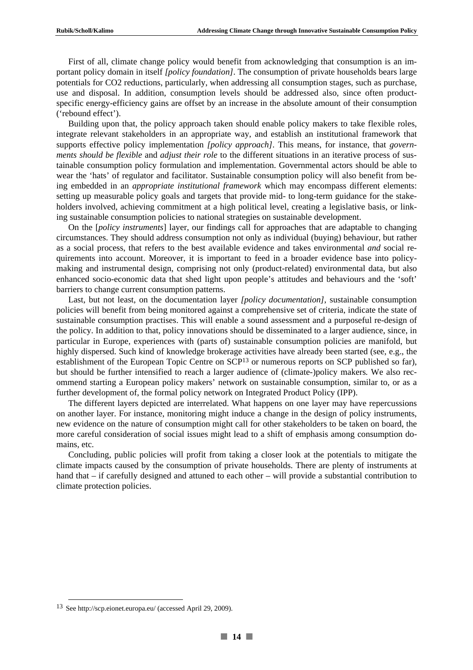First of all, climate change policy would benefit from acknowledging that consumption is an important policy domain in itself *[policy foundation]*. The consumption of private households bears large potentials for CO2 reductions, particularly, when addressing all consumption stages, such as purchase, use and disposal. In addition, consumption levels should be addressed also, since often productspecific energy-efficiency gains are offset by an increase in the absolute amount of their consumption ('rebound effect').

Building upon that, the policy approach taken should enable policy makers to take flexible roles, integrate relevant stakeholders in an appropriate way, and establish an institutional framework that supports effective policy implementation *[policy approach]*. This means, for instance, that *governments should be flexible* and *adjust their role* to the different situations in an iterative process of sustainable consumption policy formulation and implementation. Governmental actors should be able to wear the 'hats' of regulator and facilitator. Sustainable consumption policy will also benefit from being embedded in an *appropriate institutional framework* which may encompass different elements: setting up measurable policy goals and targets that provide mid- to long-term guidance for the stakeholders involved, achieving commitment at a high political level, creating a legislative basis, or linking sustainable consumption policies to national strategies on sustainable development.

On the [*policy instruments*] layer, our findings call for approaches that are adaptable to changing circumstances. They should address consumption not only as individual (buying) behaviour, but rather as a social process, that refers to the best available evidence and takes environmental *and* social requirements into account. Moreover, it is important to feed in a broader evidence base into policymaking and instrumental design, comprising not only (product-related) environmental data, but also enhanced socio-economic data that shed light upon people's attitudes and behaviours and the 'soft' barriers to change current consumption patterns.

Last, but not least, on the documentation layer *[policy documentation]*, sustainable consumption policies will benefit from being monitored against a comprehensive set of criteria, indicate the state of sustainable consumption practises. This will enable a sound assessment and a purposeful re-design of the policy. In addition to that, policy innovations should be disseminated to a larger audience, since, in particular in Europe, experiences with (parts of) sustainable consumption policies are manifold, but highly dispersed. Such kind of knowledge brokerage activities have already been started (see, e.g., the establishment of the European Topic Centre on SCP<sup>13</sup> or numerous reports on SCP published so far), but should be further intensified to reach a larger audience of (climate-)policy makers*.* We also recommend starting a European policy makers' network on sustainable consumption, similar to, or as a further development of, the formal policy network on Integrated Product Policy (IPP).

The different layers depicted are interrelated. What happens on one layer may have repercussions on another layer. For instance, monitoring might induce a change in the design of policy instruments, new evidence on the nature of consumption might call for other stakeholders to be taken on board, the more careful consideration of social issues might lead to a shift of emphasis among consumption domains, etc.

Concluding, public policies will profit from taking a closer look at the potentials to mitigate the climate impacts caused by the consumption of private households. There are plenty of instruments at hand that – if carefully designed and attuned to each other – will provide a substantial contribution to climate protection policies.

 <sup>13</sup> See http://scp.eionet.europa.eu/ (accessed April 29, 2009).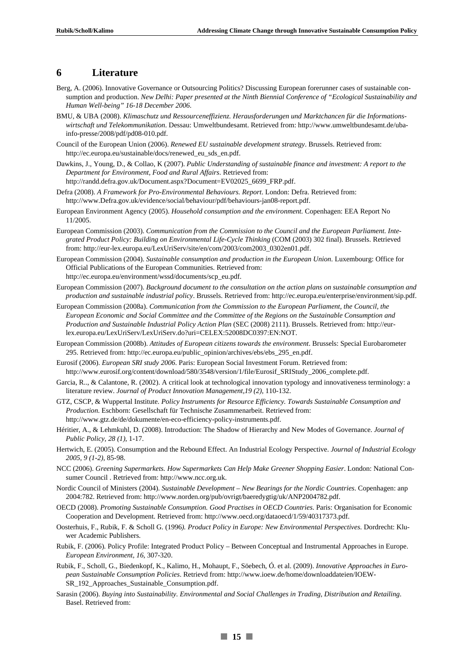### **6 Literature**

- Berg, A. (2006). Innovative Governance or Outsourcing Politics? Discussing European forerunner cases of sustainable consumption and production. *New Delhi: Paper presented at the Ninth Biennial Conference of "Ecological Sustainability and Human Well-being" 16-18 December 2006*.
- BMU, & UBA (2008). *Klimaschutz und Ressourceneffizienz. Herausforderungen und Marktchancen für die Informationswirtschaft und Telekommunikation*. Dessau: Umweltbundesamt. Retrieved from: http://www.umweltbundesamt.de/ubainfo-presse/2008/pdf/pd08-010.pdf.
- Council of the European Union (2006). *Renewed EU sustainable development strategy*. Brussels. Retrieved from: http://ec.europa.eu/sustainable/docs/renewed\_eu\_sds\_en.pdf.
- Dawkins, J., Young, D., & Collao, K (2007). *Public Understanding of sustainable finance and investment: A report to the Department for Environment, Food and Rural Affairs*. Retrieved from: http://randd.defra.gov.uk/Document.aspx?Document=EV02025\_6699\_FRP.pdf.
- Defra (2008). *A Framework for Pro-Environmental Behaviours. Report*. London: Defra. Retrieved from: http://www.Defra.gov.uk/evidence/social/behaviour/pdf/behaviours-jan08-report.pdf.
- European Environment Agency (2005). *Household consumption and the environment.* Copenhagen: EEA Report No 11/2005.
- European Commission (2003). *Communication from the Commission to the Council and the European Parliament. Integrated Product Policy: Building on Environmental Life-Cycle Thinking* (COM (2003) 302 final). Brussels. Retrieved from: http://eur-lex.europa.eu/LexUriServ/site/en/com/2003/com2003\_0302en01.pdf.
- European Commission (2004). *Sustainable consumption and production in the European Union*. Luxembourg: Office for Official Publications of the European Communities. Retrieved from: http://ec.europa.eu/environment/wssd/documents/scp\_eu.pdf.
- European Commission (2007). *Background document to the consultation on the action plans on sustainable consumption and production and sustainable industrial policy*. Brussels. Retrieved from: http://ec.europa.eu/enterprise/environment/sip.pdf.
- European Commission (2008a). *Communication from the Commission to the European Parliament, the Council, the European Economic and Social Committee and the Committee of the Regions on the Sustainable Consumption and Production and Sustainable Industrial Policy Action Plan* (SEC (2008) 2111). Brussels. Retrieved from: http://eurlex.europa.eu/LexUriServ/LexUriServ.do?uri=CELEX:52008DC0397:EN:NOT.
- European Commission (2008b). *Attitudes of European citizens towards the environment*. Brussels: Special Eurobarometer 295. Retrieved from: http://ec.europa.eu/public\_opinion/archives/ebs/ebs\_295\_en.pdf.
- Eurosif (2006). *European SRI study 2006*. Paris: European Social Investment Forum. Retrieved from: http://www.eurosif.org/content/download/580/3548/version/1/file/Eurosif\_SRIStudy\_2006\_complete.pdf.
- Garcia, R.., & Calantone, R. (2002). A critical look at technological innovation typology and innovativeness terminology: a literature review. *Journal of Product Innovation Management,19 (2)*, 110-132.
- GTZ, CSCP, & Wuppertal Institute. *Policy Instruments for Resource Efficiency. Towards Sustainable Consumption and Production*. Eschborn: Gesellschaft für Technische Zusammenarbeit. Retrieved from: http://www.gtz.de/de/dokumente/en-eco-efficiency-policy-instruments.pdf.
- Héritier, A., & Lehmkuhl, D. (2008). Introduction: The Shadow of Hierarchy and New Modes of Governance. *Journal of Public Policy, 28 (1)*, 1-17.
- Hertwich, E. (2005). Consumption and the Rebound Effect. An Industrial Ecology Perspective. *Journal of Industrial Ecology 2005, 9 (1-2)*, 85-98.
- NCC (2006). *Greening Supermarkets. How Supermarkets Can Help Make Greener Shopping Easier*. London: National Consumer Council . Retrieved from: http://www.ncc.org.uk.
- Nordic Council of Ministers (2004). *Sustainable Development New Bearings for the Nordic Countries*. Copenhagen: anp 2004:782. Retrieved from: http://www.norden.org/pub/ovrigt/baeredygtig/uk/ANP2004782.pdf.
- OECD (2008). *Promoting Sustainable Consumption. Good Practises in OECD Countries*. Paris: Organisation for Economic Cooperation and Development. Retrieved from: http://www.oecd.org/dataoecd/1/59/40317373.pdf.
- Oosterhuis, F., Rubik, F. & Scholl G. (1996*). Product Policy in Europe: New Environmental Perspectives*. Dordrecht: Kluwer Academic Publishers.
- Rubik, F. (2006). Policy Profile: Integrated Product Policy Between Conceptual and Instrumental Approaches in Europe. *European Environment, 16*, 307-320.
- Rubik, F., Scholl, G., Biedenkopf, K., Kalimo, H., Mohaupt, F., Söebech, Ó. et al. (2009). *Innovative Approaches in European Sustainable Consumption Policies*. Retrievd from: http://www.ioew.de/home/downloaddateien/IOEW-SR\_192\_Approaches\_Sustainable\_Consumption.pdf.
- Sarasin (2006). *Buying into Sustainability. Environmental and Social Challenges in Trading, Distribution and Retailing*. Basel. Retrieved from: